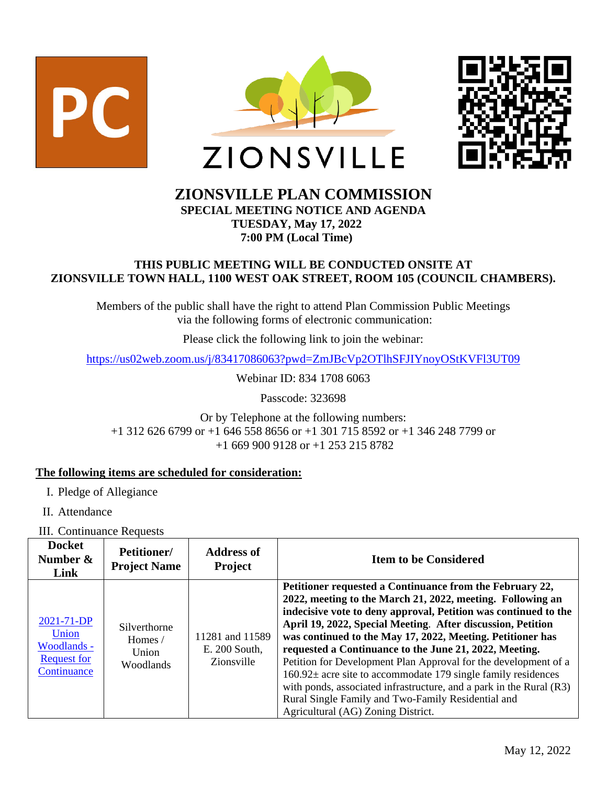



# **ZIONSVILLE PLAN COMMISSION**

**SPECIAL MEETING NOTICE AND AGENDA TUESDAY, May 17, 2022 7:00 PM (Local Time)**

#### **THIS PUBLIC MEETING WILL BE CONDUCTED ONSITE AT ZIONSVILLE TOWN HALL, 1100 WEST OAK STREET, ROOM 105 (COUNCIL CHAMBERS).**

Members of the public shall have the right to attend Plan Commission Public Meetings via the following forms of electronic communication:

Please click the following link to join the webinar:

<https://us02web.zoom.us/j/83417086063?pwd=ZmJBcVp2OTlhSFJIYnoyOStKVFl3UT09>

Webinar ID: 834 1708 6063

Passcode: 323698

Or by Telephone at the following numbers: +1 312 626 6799 or +1 646 558 8656 or +1 301 715 8592 or +1 346 248 7799 or +1 669 900 9128 or +1 253 215 8782

## **The following items are scheduled for consideration:**

- I. Pledge of Allegiance
- II. Attendance

III. Continuance Requests

| <b>Docket</b><br>Number $\&$<br>Link                                    | Petitioner/<br><b>Project Name</b>            | <b>Address of</b><br><b>Project</b>            | <b>Item to be Considered</b>                                                                                                                                                                                                                                                                                                                                                                                                                                                                                                                                                                                                                                                                |
|-------------------------------------------------------------------------|-----------------------------------------------|------------------------------------------------|---------------------------------------------------------------------------------------------------------------------------------------------------------------------------------------------------------------------------------------------------------------------------------------------------------------------------------------------------------------------------------------------------------------------------------------------------------------------------------------------------------------------------------------------------------------------------------------------------------------------------------------------------------------------------------------------|
| 2021-71-DP<br>Union<br>Woodlands -<br><b>Request for</b><br>Continuance | Silverthorne<br>Homes /<br>Union<br>Woodlands | 11281 and 11589<br>E. 200 South,<br>Zionsville | Petitioner requested a Continuance from the February 22,<br>2022, meeting to the March 21, 2022, meeting. Following an<br>indecisive vote to deny approval, Petition was continued to the<br>April 19, 2022, Special Meeting. After discussion, Petition<br>was continued to the May 17, 2022, Meeting. Petitioner has<br>requested a Continuance to the June 21, 2022, Meeting.<br>Petition for Development Plan Approval for the development of a<br>$160.92\pm$ acre site to accommodate 179 single family residences<br>with ponds, associated infrastructure, and a park in the Rural (R3)<br>Rural Single Family and Two-Family Residential and<br>Agricultural (AG) Zoning District. |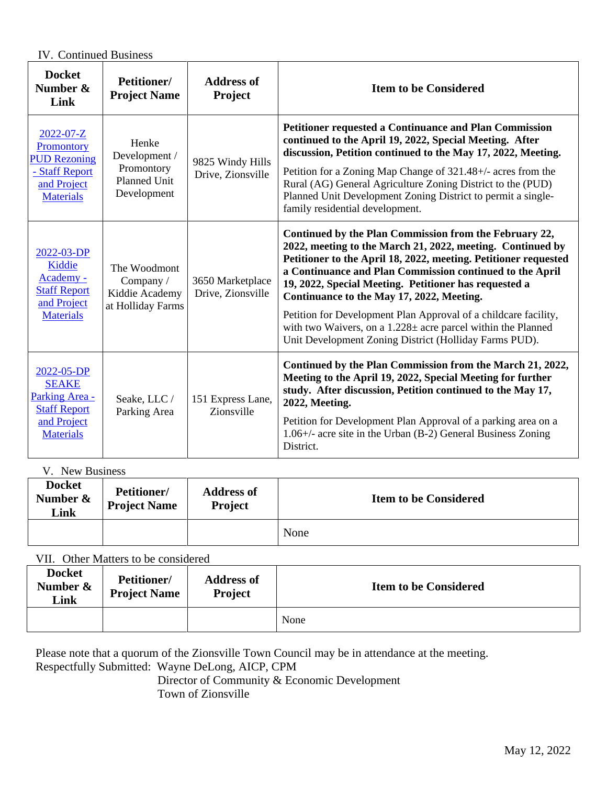IV. Continued Business

| <b>Docket</b><br>Number &<br>Link                                                                         | Petitioner/<br><b>Project Name</b>                                         | <b>Address of</b><br>Project          | <b>Item to be Considered</b>                                                                                                                                                                                                                                                                                                                                                                                                                                                                                                                                |
|-----------------------------------------------------------------------------------------------------------|----------------------------------------------------------------------------|---------------------------------------|-------------------------------------------------------------------------------------------------------------------------------------------------------------------------------------------------------------------------------------------------------------------------------------------------------------------------------------------------------------------------------------------------------------------------------------------------------------------------------------------------------------------------------------------------------------|
| $2022 - 07 - Z$<br>Promontory<br><b>PUD Rezoning</b><br>- Staff Report<br>and Project<br><b>Materials</b> | Henke<br>Development /<br>Promontory<br><b>Planned Unit</b><br>Development | 9825 Windy Hills<br>Drive, Zionsville | <b>Petitioner requested a Continuance and Plan Commission</b><br>continued to the April 19, 2022, Special Meeting. After<br>discussion, Petition continued to the May 17, 2022, Meeting.<br>Petition for a Zoning Map Change of 321.48+/- acres from the<br>Rural (AG) General Agriculture Zoning District to the (PUD)<br>Planned Unit Development Zoning District to permit a single-<br>family residential development.                                                                                                                                  |
| 2022-03-DP<br>Kiddie<br>Academy -<br><b>Staff Report</b><br>and Project<br><b>Materials</b>               | The Woodmont<br>Company /<br>Kiddie Academy<br>at Holliday Farms           | 3650 Marketplace<br>Drive, Zionsville | Continued by the Plan Commission from the February 22,<br>2022, meeting to the March 21, 2022, meeting. Continued by<br>Petitioner to the April 18, 2022, meeting. Petitioner requested<br>a Continuance and Plan Commission continued to the April<br>19, 2022, Special Meeting. Petitioner has requested a<br>Continuance to the May 17, 2022, Meeting.<br>Petition for Development Plan Approval of a childcare facility,<br>with two Waivers, on a $1.228 \pm$ acre parcel within the Planned<br>Unit Development Zoning District (Holliday Farms PUD). |
| 2022-05-DP<br><b>SEAKE</b><br>Parking Area -<br><b>Staff Report</b><br>and Project<br><b>Materials</b>    | Seake, LLC /<br>Parking Area                                               | 151 Express Lane,<br>Zionsville       | Continued by the Plan Commission from the March 21, 2022,<br>Meeting to the April 19, 2022, Special Meeting for further<br>study. After discussion, Petition continued to the May 17,<br>2022, Meeting.<br>Petition for Development Plan Approval of a parking area on a<br>$1.06+\prime$ - acre site in the Urban (B-2) General Business Zoning<br>District.                                                                                                                                                                                               |

V. New Business

| Docket<br>Number $\&$<br><b>Link</b> | <b>Petitioner/</b><br><b>Project Name</b> | <b>Address of</b><br><b>Project</b> | <b>Item to be Considered</b> |
|--------------------------------------|-------------------------------------------|-------------------------------------|------------------------------|
|                                      |                                           |                                     | None                         |

## VII. Other Matters to be considered

| <b>Docket</b><br>Number $\&$<br>Link | Petitioner/<br><b>Project Name</b> | <b>Address of</b><br>Project | <b>Item to be Considered</b> |
|--------------------------------------|------------------------------------|------------------------------|------------------------------|
|                                      |                                    |                              | None                         |

Please note that a quorum of the Zionsville Town Council may be in attendance at the meeting. Respectfully Submitted: Wayne DeLong, AICP, CPM

 Director of Community & Economic Development Town of Zionsville